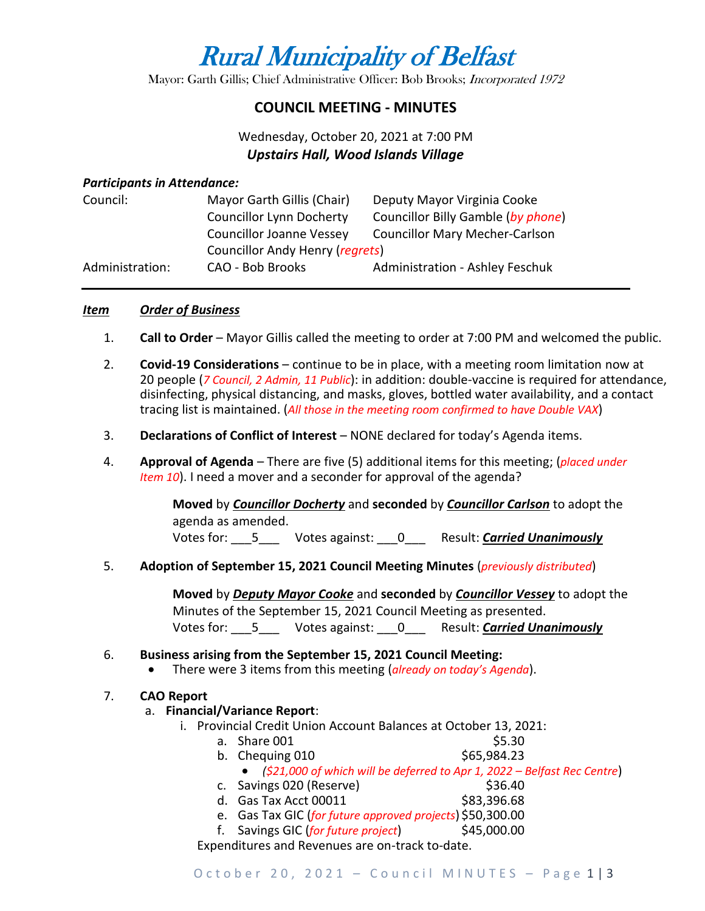# Rural Municipality of Belfast

Mayor: Garth Gillis; Chief Administrative Officer: Bob Brooks; Incorporated 1972

# **COUNCIL MEETING - MINUTES**

# Wednesday, October 20, 2021 at 7:00 PM *Upstairs Hall, Wood Islands Village*

#### *Participants in Attendance:*

| Council:        | Mayor Garth Gillis (Chair)      | Deputy Mayor Virginia Cooke            |
|-----------------|---------------------------------|----------------------------------------|
|                 | <b>Councillor Lynn Docherty</b> | Councillor Billy Gamble (by phone)     |
|                 | <b>Councillor Joanne Vessey</b> | <b>Councillor Mary Mecher-Carlson</b>  |
|                 | Councillor Andy Henry (regrets) |                                        |
| Administration: | CAO - Bob Brooks                | <b>Administration - Ashley Feschuk</b> |

# *Item Order of Business*

- 1. **Call to Order** Mayor Gillis called the meeting to order at 7:00 PM and welcomed the public.
- 2. **Covid-19 Considerations**  continue to be in place, with a meeting room limitation now at 20 people (*7 Council, 2 Admin, 11 Public*): in addition: double-vaccine is required for attendance, disinfecting, physical distancing, and masks, gloves, bottled water availability, and a contact tracing list is maintained. (*All those in the meeting room confirmed to have Double VAX*)
- 3. **Declarations of Conflict of Interest** NONE declared for today's Agenda items.
- 4. **Approval of Agenda** There are five (5) additional items for this meeting; (*placed under Item 10*). I need a mover and a seconder for approval of the agenda?

**Moved** by *Councillor Docherty* and **seconded** by *Councillor Carlson* to adopt the agenda as amended.

Votes for: \_\_\_5\_\_\_ Votes against: \_\_\_0\_\_\_ Result: *Carried Unanimously*

5. **Adoption of September 15, 2021 Council Meeting Minutes** (*previously distributed*)

**Moved** by *Deputy Mayor Cooke* and **seconded** by *Councillor Vessey* to adopt the Minutes of the September 15, 2021 Council Meeting as presented. Votes for: \_\_\_5\_\_\_ Votes against: \_\_\_0\_\_\_ Result: *Carried Unanimously*

# 6. **Business arising from the September 15, 2021 Council Meeting:**

• There were 3 items from this meeting (*already on today's Agenda*).

# 7. **CAO Report**

# a. **Financial/Variance Report**:

- i. Provincial Credit Union Account Balances at October 13, 2021:
	- a. Share 001 \$5.30
	- b. Chequing 010 \$65,984.23
		- *(\$21,000 of which will be deferred to Apr 1, 2022 – Belfast Rec Centre*)
	- c. Savings 020 (Reserve) 636.40
	- d. Gas Tax Acct 00011 \$83,396.68
	- e. Gas Tax GIC (*for future approved projects*) \$50,300.00
	- f. Savings GIC (*for future project*) \$45,000.00

Expenditures and Revenues are on-track to-date.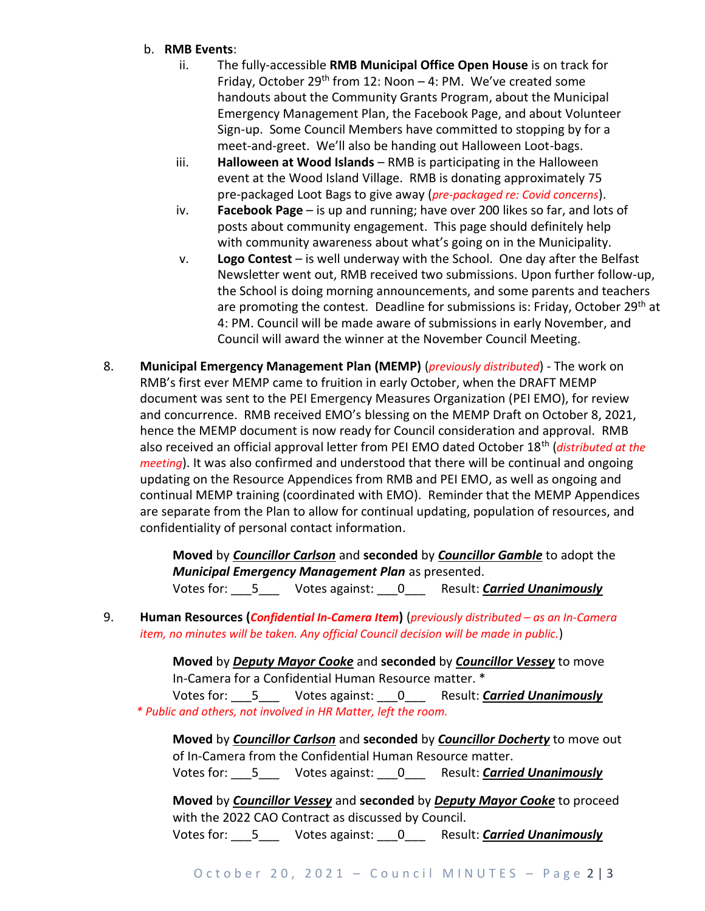#### b. **RMB Events**:

- ii. The fully-accessible **RMB Municipal Office Open House** is on track for Friday, October 29<sup>th</sup> from 12: Noon  $-$  4: PM. We've created some handouts about the Community Grants Program, about the Municipal Emergency Management Plan, the Facebook Page, and about Volunteer Sign-up. Some Council Members have committed to stopping by for a meet-and-greet. We'll also be handing out Halloween Loot-bags.
- iii. **Halloween at Wood Islands** RMB is participating in the Halloween event at the Wood Island Village. RMB is donating approximately 75 pre-packaged Loot Bags to give away (*pre-packaged re: Covid concerns*).
- iv. **Facebook Page** is up and running; have over 200 likes so far, and lots of posts about community engagement. This page should definitely help with community awareness about what's going on in the Municipality.
- v. **Logo Contest** is well underway with the School. One day after the Belfast Newsletter went out, RMB received two submissions. Upon further follow-up, the School is doing morning announcements, and some parents and teachers are promoting the contest. Deadline for submissions is: Friday, October 29<sup>th</sup> at 4: PM. Council will be made aware of submissions in early November, and Council will award the winner at the November Council Meeting.
- 8. **Municipal Emergency Management Plan (MEMP)** (*previously distributed*) The work on RMB's first ever MEMP came to fruition in early October, when the DRAFT MEMP document was sent to the PEI Emergency Measures Organization (PEI EMO), for review and concurrence. RMB received EMO's blessing on the MEMP Draft on October 8, 2021, hence the MEMP document is now ready for Council consideration and approval. RMB also received an official approval letter from PEI EMO dated October 18th (*distributed at the meeting*). It was also confirmed and understood that there will be continual and ongoing updating on the Resource Appendices from RMB and PEI EMO, as well as ongoing and continual MEMP training (coordinated with EMO). Reminder that the MEMP Appendices are separate from the Plan to allow for continual updating, population of resources, and confidentiality of personal contact information.

**Moved** by *Councillor Carlson* and **seconded** by *Councillor Gamble* to adopt the *Municipal Emergency Management Plan* as presented.

Votes for: \_\_\_5\_\_\_ Votes against: \_\_\_0\_\_\_ Result: *Carried Unanimously*

9. **Human Resources (***Confidential In-Camera Item***)** (*previously distributed – as an In-Camera item, no minutes will be taken. Any official Council decision will be made in public.*)

> **Moved** by *Deputy Mayor Cooke* and **seconded** by *Councillor Vessey* to move In-Camera for a Confidential Human Resource matter. \*

Votes for: \_\_\_5\_\_\_ Votes against: \_\_\_0\_\_\_ Result: *Carried Unanimously \* Public and others, not involved in HR Matter, left the room.*

**Moved** by *Councillor Carlson* and **seconded** by *Councillor Docherty* to move out of In-Camera from the Confidential Human Resource matter.

Votes for: \_\_\_5\_\_\_ Votes against: \_\_\_0\_\_\_ Result: *Carried Unanimously*

**Moved** by *Councillor Vessey* and **seconded** by *Deputy Mayor Cooke* to proceed with the 2022 CAO Contract as discussed by Council. Votes for: \_\_\_5\_\_\_ Votes against: \_\_\_0\_\_\_ Result: *Carried Unanimously*